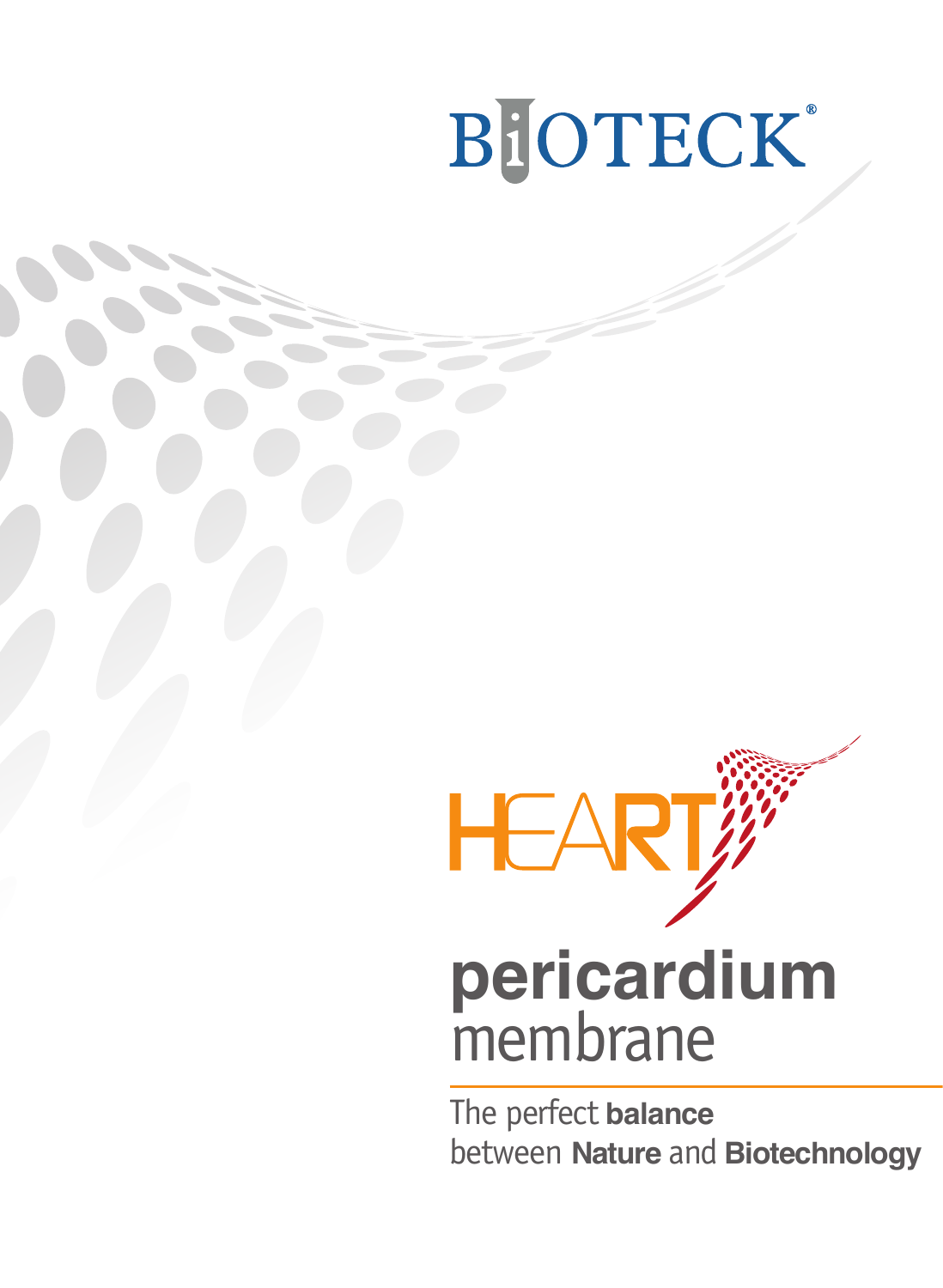# BIOTECK®



The perfect **balance** between **Nature** and **Biotechnology**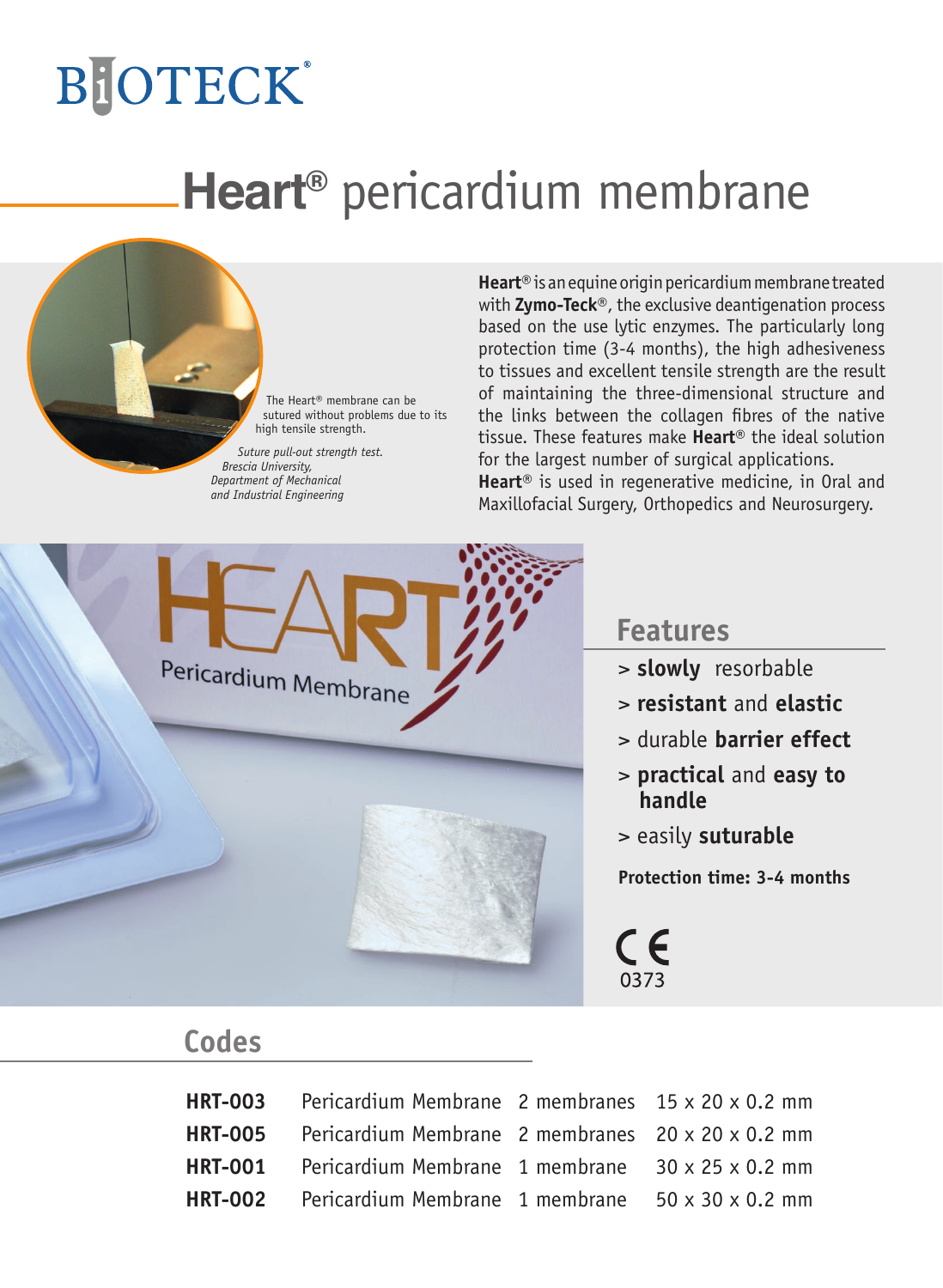# **BiOTECK**®

## **Heart®** pericardium membrane

The Heart® membrane can be sutured without problems due to its high tensile strength.

*Suture pull-out strength test. Brescia University, Department of Mechanical and Industrial Engineering*

**Heart®** is an equine origin pericardium membrane treated with **Zymo-Teck**®, the exclusive deantigenation process based on the use lytic enzymes. The particularly long protection time (3-4 months), the high adhesiveness to tissues and excellent tensile strength are the result of maintaining the three-dimensional structure and the links between the collagen fibres of the native tissue. These features make **Heart**® the ideal solution for the largest number of surgical applications. **Heart®** is used in regenerative medicine, in Oral and

Maxillofacial Surgery, Orthopedics and Neurosurgery.



#### **Features**

- > **slowly** resorbable
- > **resistant** and **elastic**
- > durable **barrier effect**
- > **practical** and **easy to handle**
- > easily **suturable**

**Protection time: 3-4 months**

CE 0373

### **Codes**

| <b>HRT-003</b> Pericardium Membrane 2 membranes $15 \times 20 \times 0.2$ mm |  |
|------------------------------------------------------------------------------|--|
| <b>HRT-005</b> Pericardium Membrane 2 membranes $20 \times 20 \times 0.2$ mm |  |
| <b>HRT-001</b> Pericardium Membrane 1 membrane $30 \times 25 \times 0.2$ mm  |  |
| <b>HRT-002</b> Pericardium Membrane 1 membrane $50 \times 30 \times 0.2$ mm  |  |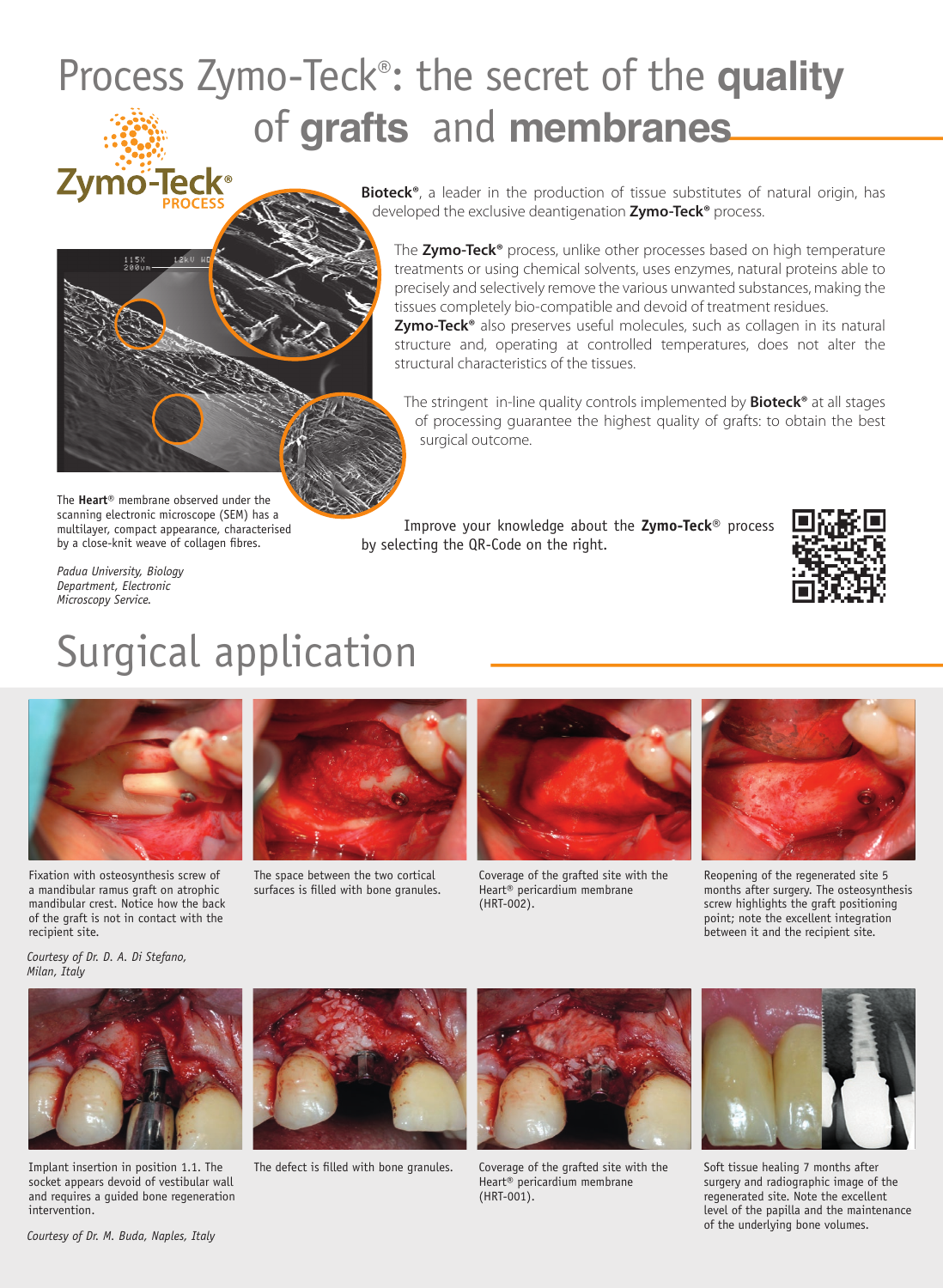# Process Zymo-Teck®: the secret of the **quality Example 23 Allegard Science Concerns and Science of tissue substitute**<br> **Zymo-Teck**<br> **Example 2009 Allegard Science Approximately** a leader in the production of tissue substitute

**Bioteck®**, a leader in the production of tissue substitutes of natural origin, has developed the exclusive deantigenation **Zymo-Teck®** process.

The **Zymo-Teck®** process, unlike other processes based on high temperature treatments or using chemical solvents, uses enzymes, natural proteins able to precisely and selectively remove the various unwanted substances, making the tissues completely bio-compatible and devoid of treatment residues.

**Zymo-Teck®** also preserves useful molecules, such as collagen in its natural structure and, operating at controlled temperatures, does not alter the structural characteristics of the tissues.

The stringent in-line quality controls implemented by **Bioteck®** at all stages of processing guarantee the highest quality of grafts: to obtain the best surgical outcome.

The **Heart**® membrane observed under the scanning electronic microscope (SEM) has a multilayer, compact appearance, characterised by a close-knit weave of collagen fibres.

Improve your knowledge about the **Zymo-Teck®** process by selecting the QR-Code on the right.



*Padua University, Biology Department, Electronic Microscopy Service.*

 $115X$ 

### Surgical application



Fixation with osteosynthesis screw of a mandibular ramus graft on atrophic mandibular crest. Notice how the back of the graft is not in contact with the recipient site.



The space between the two cortical surfaces is filled with bone granules.



Coverage of the grafted site with the Heart® pericardium membrane (HRT-002).



Reopening of the regenerated site 5 months after surgery. The osteosynthesis screw highlights the graft positioning point; note the excellent integration between it and the recipient site.

*Courtesy of Dr. D. A. Di Stefano, Milan, Italy*



Implant insertion in position 1.1. The socket appears devoid of vestibular wall and requires a guided bone regeneration intervention.



The defect is filled with bone granules.



Coverage of the grafted site with the Heart® pericardium membrane (HRT-001).



Soft tissue healing 7 months after surgery and radiographic image of the regenerated site. Note the excellent level of the papilla and the maintenance of the underlying bone volumes.